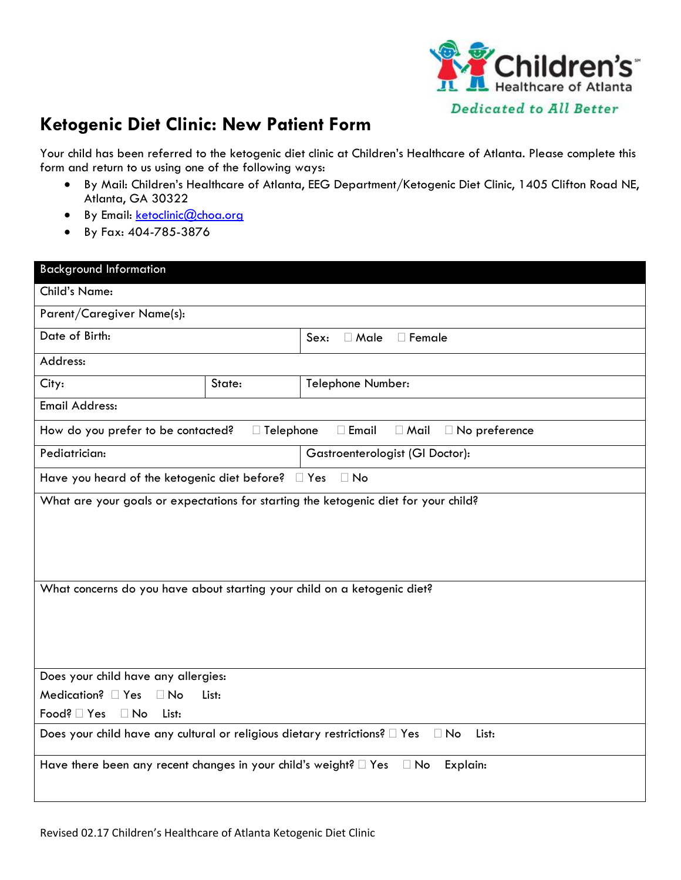

## **Ketogenic Diet Clinic: New Patient Form**

Your child has been referred to the ketogenic diet clinic at Children's Healthcare of Atlanta. Please complete this form and return to us using one of the following ways:

- By Mail: Children's Healthcare of Atlanta, EEG Department/Ketogenic Diet Clinic, 1405 Clifton Road NE, Atlanta, GA 30322
- By Email: [ketoclinic@choa.org](mailto:ketoclinic@choa.org)
- By Fax: 404-785-3876

| <b>Background Information</b>                                                                    |                  |                                                     |  |  |  |
|--------------------------------------------------------------------------------------------------|------------------|-----------------------------------------------------|--|--|--|
| <b>Child's Name:</b>                                                                             |                  |                                                     |  |  |  |
| Parent/Caregiver Name(s):                                                                        |                  |                                                     |  |  |  |
| Date of Birth:                                                                                   |                  | □ Female<br>$\Box$ Male<br>Sex:                     |  |  |  |
| Address:                                                                                         |                  |                                                     |  |  |  |
| City:                                                                                            | State:           | Telephone Number:                                   |  |  |  |
| <b>Email Address:</b>                                                                            |                  |                                                     |  |  |  |
| How do you prefer to be contacted?                                                               | $\Box$ Telephone | $\Box$ Email<br>$\Box$ Mail<br>$\Box$ No preference |  |  |  |
| Pediatrician:                                                                                    |                  | Gastroenterologist (GI Doctor):                     |  |  |  |
| Have you heard of the ketogenic diet before? If Yes                                              |                  | $\Box$ No                                           |  |  |  |
| What are your goals or expectations for starting the ketogenic diet for your child?              |                  |                                                     |  |  |  |
| What concerns do you have about starting your child on a ketogenic diet?                         |                  |                                                     |  |  |  |
| Does your child have any allergies:                                                              |                  |                                                     |  |  |  |
| Medication? $\Box$ Yes<br>$\Box$ No<br>List:                                                     |                  |                                                     |  |  |  |
| Food? □ Yes<br>$\Box$ No<br>List:                                                                |                  |                                                     |  |  |  |
| Does your child have any cultural or religious dietary restrictions? I Yes<br>$\Box$ No<br>List: |                  |                                                     |  |  |  |
| Have there been any recent changes in your child's weight? $\Box$ Yes $\Box$ No<br>Explain:      |                  |                                                     |  |  |  |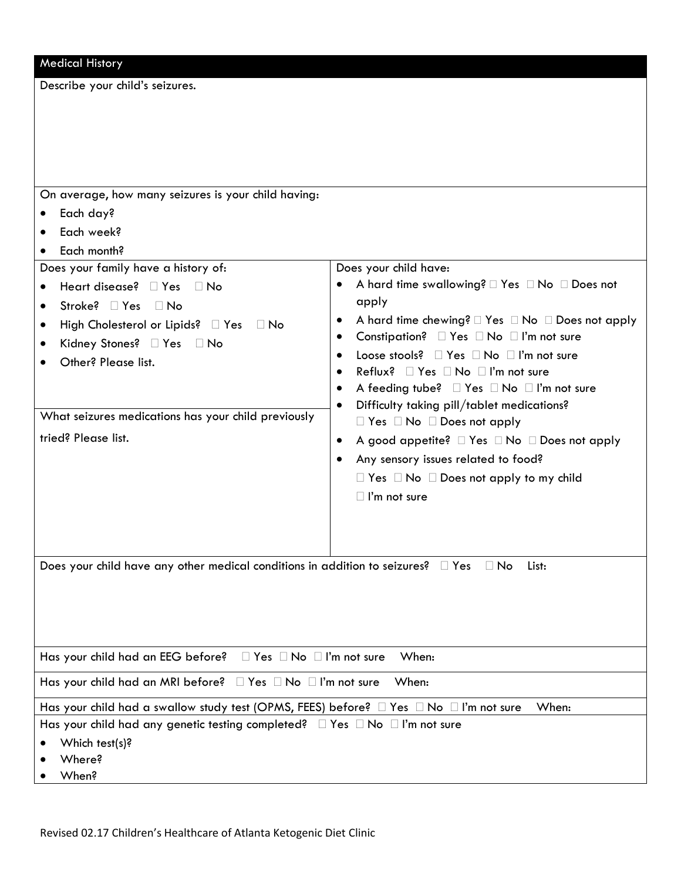| <b>Medical History</b>                                                                                                                                                                                                                                                                                                                                                                                             |                                                                                                                                                                                                                                                                                                                                                                                                                                                                                                                                                                                                                                                        |  |  |  |
|--------------------------------------------------------------------------------------------------------------------------------------------------------------------------------------------------------------------------------------------------------------------------------------------------------------------------------------------------------------------------------------------------------------------|--------------------------------------------------------------------------------------------------------------------------------------------------------------------------------------------------------------------------------------------------------------------------------------------------------------------------------------------------------------------------------------------------------------------------------------------------------------------------------------------------------------------------------------------------------------------------------------------------------------------------------------------------------|--|--|--|
| Describe your child's seizures.                                                                                                                                                                                                                                                                                                                                                                                    |                                                                                                                                                                                                                                                                                                                                                                                                                                                                                                                                                                                                                                                        |  |  |  |
| On average, how many seizures is your child having:<br>Each day?<br>Each week?<br>Each month?<br>Does your family have a history of:<br>Heart disease? □ Yes<br>$\Box$ No<br>$\bullet$<br>Stroke? □ Yes □ No<br>High Cholesterol or Lipids? $\Box$ Yes<br>$\Box$ No<br>$\bullet$<br>Kidney Stones? □ Yes □ No<br>Other? Please list.<br>What seizures medications has your child previously<br>tried? Please list. | Does your child have:<br>apply<br>A hard time chewing? $\Box$ Yes $\Box$ No $\Box$ Does not apply<br>٠<br>Constipation? $\Box$ Yes $\Box$ No $\Box$ I'm not sure<br>٠<br>Loose stools? $\Box$ Yes $\Box$ No $\Box$ I'm not sure<br>$\bullet$<br>Reflux? Pes DNo DI'm not sure<br>$\bullet$<br>A feeding tube? $\Box$ Yes $\Box$ No $\Box$ I'm not sure<br>٠<br>Difficulty taking pill/tablet medications?<br>$\bullet$<br>$\Box$ Yes $\Box$ No $\Box$ Does not apply<br>A good appetite? □ Yes □ No □ Does not apply<br>٠<br>Any sensory issues related to food?<br>٠<br>$\Box$ Yes $\Box$ No $\Box$ Does not apply to my child<br>$\Box$ I'm not sure |  |  |  |
| Does your child have any other medical conditions in addition to seizures? $\square$ Yes                                                                                                                                                                                                                                                                                                                           | $\Box$ No<br>List:                                                                                                                                                                                                                                                                                                                                                                                                                                                                                                                                                                                                                                     |  |  |  |
| Has your child had an EEG before? $\Box$ Yes $\Box$ No $\Box$ I'm not sure                                                                                                                                                                                                                                                                                                                                         | When:                                                                                                                                                                                                                                                                                                                                                                                                                                                                                                                                                                                                                                                  |  |  |  |
| Has your child had an MRI before? □ Yes □ No □ I'm not sure<br>When:                                                                                                                                                                                                                                                                                                                                               |                                                                                                                                                                                                                                                                                                                                                                                                                                                                                                                                                                                                                                                        |  |  |  |
| Has your child had a swallow study test (OPMS, FEES) before? □ Yes □ No □ I'm not sure<br>When:                                                                                                                                                                                                                                                                                                                    |                                                                                                                                                                                                                                                                                                                                                                                                                                                                                                                                                                                                                                                        |  |  |  |
| Has your child had any genetic testing completed? $\Box$ Yes $\Box$ No $\Box$ I'm not sure<br>Which test(s)?<br>Where?                                                                                                                                                                                                                                                                                             |                                                                                                                                                                                                                                                                                                                                                                                                                                                                                                                                                                                                                                                        |  |  |  |

• When?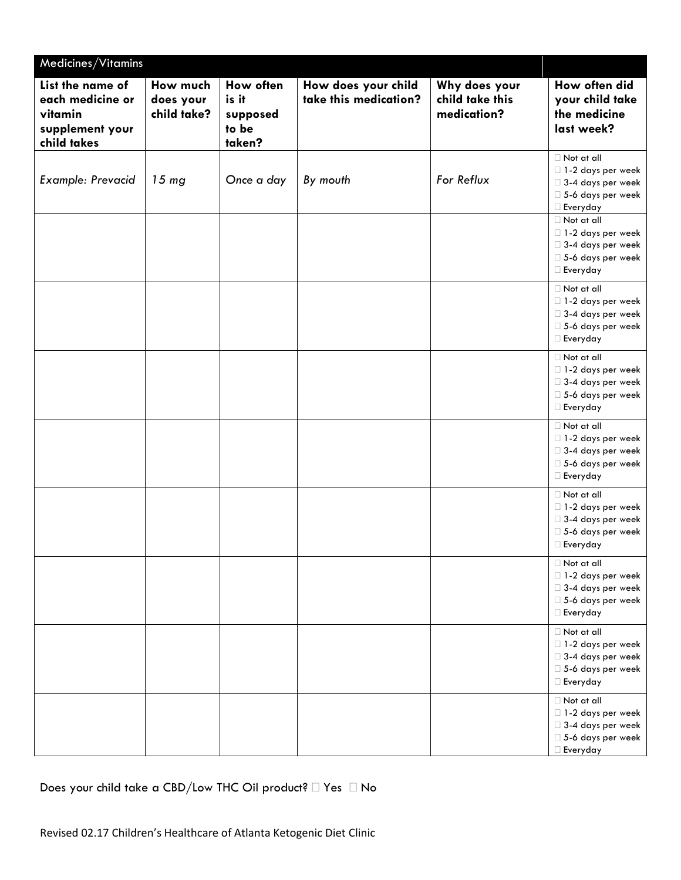| Medicines/Vitamins                                                                |                                      |                                                   |                                              |                                                 |                                                                                                                                                                                              |
|-----------------------------------------------------------------------------------|--------------------------------------|---------------------------------------------------|----------------------------------------------|-------------------------------------------------|----------------------------------------------------------------------------------------------------------------------------------------------------------------------------------------------|
| List the name of<br>each medicine or<br>vitamin<br>supplement your<br>child takes | How much<br>does your<br>child take? | How often<br>is it<br>supposed<br>to be<br>taken? | How does your child<br>take this medication? | Why does your<br>child take this<br>medication? | How often did<br>your child take<br>the medicine<br>last week?                                                                                                                               |
| Example: Prevacid                                                                 | 15 <sub>mg</sub>                     | Once a day                                        | By mouth                                     | For Reflux                                      | $\Box$ Not at all<br>□ 1-2 days per week<br>$\square$ 3-4 days per week<br>$\square$ 5-6 days per week<br>□ Everyday<br>$\Box$ Not at all<br>$\Box$ 1-2 days per week<br>□ 3-4 days per week |
|                                                                                   |                                      |                                                   |                                              |                                                 | □ 5-6 days per week<br>$\Box$ Everyday<br>$\Box$ Not at all<br>□ 1-2 days per week<br>$\square$ 3-4 days per week<br>$\Box$ 5-6 days per week<br>$\Box$ Everyday                             |
|                                                                                   |                                      |                                                   |                                              |                                                 | $\Box$ Not at all<br>□ 1-2 days per week<br>□ 3-4 days per week<br>5-6 days per week<br>□ Everyday                                                                                           |
|                                                                                   |                                      |                                                   |                                              |                                                 | $\Box$ Not at all<br>□ 1-2 days per week<br>□ 3-4 days per week<br>$\square$ 5-6 days per week<br>□ Everyday                                                                                 |
|                                                                                   |                                      |                                                   |                                              |                                                 | $\Box$ Not at all<br>□ 1-2 days per week<br>□ 3-4 days per week<br>$\square$ 5-6 days per week<br>$\Box$ Everyday                                                                            |
|                                                                                   |                                      |                                                   |                                              |                                                 | $\Box$ Not at all<br>□ 1-2 days per week<br>□ 3-4 days per week<br>□ 5-6 days per week<br>□ Everyday                                                                                         |
|                                                                                   |                                      |                                                   |                                              |                                                 | $\Box$ Not at all<br>□ 1-2 days per week<br>□ 3-4 days per week<br>□ 5-6 days per week<br>$\Box$ Everyday                                                                                    |
|                                                                                   |                                      |                                                   |                                              |                                                 | $\Box$ Not at all<br>□ 1-2 days per week<br>□ 3-4 days per week<br>□ 5-6 days per week<br>□ Everyday                                                                                         |

Does your child take a CBD/Low THC Oil product?  $\square$  Yes  $\square$  No